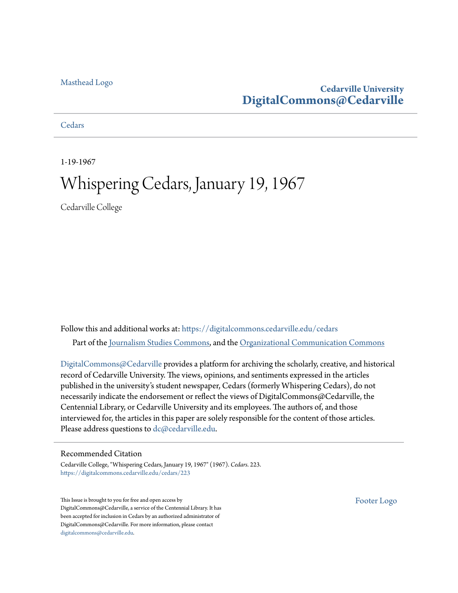### [Masthead Logo](http://www.cedarville.edu/?utm_source=digitalcommons.cedarville.edu%2Fcedars%2F223&utm_medium=PDF&utm_campaign=PDFCoverPages)

### **Cedarville University [DigitalCommons@Cedarville](https://digitalcommons.cedarville.edu?utm_source=digitalcommons.cedarville.edu%2Fcedars%2F223&utm_medium=PDF&utm_campaign=PDFCoverPages)**

**[Cedars](https://digitalcommons.cedarville.edu/cedars?utm_source=digitalcommons.cedarville.edu%2Fcedars%2F223&utm_medium=PDF&utm_campaign=PDFCoverPages)** 

1-19-1967

### Whispering Cedars, January 19, 1967

Cedarville College

Follow this and additional works at: [https://digitalcommons.cedarville.edu/cedars](https://digitalcommons.cedarville.edu/cedars?utm_source=digitalcommons.cedarville.edu%2Fcedars%2F223&utm_medium=PDF&utm_campaign=PDFCoverPages) Part of the [Journalism Studies Commons](http://network.bepress.com/hgg/discipline/333?utm_source=digitalcommons.cedarville.edu%2Fcedars%2F223&utm_medium=PDF&utm_campaign=PDFCoverPages), and the [Organizational Communication Commons](http://network.bepress.com/hgg/discipline/335?utm_source=digitalcommons.cedarville.edu%2Fcedars%2F223&utm_medium=PDF&utm_campaign=PDFCoverPages)

[DigitalCommons@Cedarville](http://digitalcommons.cedarville.edu/) provides a platform for archiving the scholarly, creative, and historical record of Cedarville University. The views, opinions, and sentiments expressed in the articles published in the university's student newspaper, Cedars (formerly Whispering Cedars), do not necessarily indicate the endorsement or reflect the views of DigitalCommons@Cedarville, the Centennial Library, or Cedarville University and its employees. The authors of, and those interviewed for, the articles in this paper are solely responsible for the content of those articles. Please address questions to [dc@cedarville.edu.](mailto:dc@cedarville.edu)

### Recommended Citation

Cedarville College, "Whispering Cedars, January 19, 1967" (1967). *Cedars*. 223. [https://digitalcommons.cedarville.edu/cedars/223](https://digitalcommons.cedarville.edu/cedars/223?utm_source=digitalcommons.cedarville.edu%2Fcedars%2F223&utm_medium=PDF&utm_campaign=PDFCoverPages)

This Issue is brought to you for free and open access by DigitalCommons@Cedarville, a service of the Centennial Library. It has been accepted for inclusion in Cedars by an authorized administrator of DigitalCommons@Cedarville. For more information, please contact [digitalcommons@cedarville.edu](mailto:digitalcommons@cedarville.edu).

[Footer Logo](http://www.cedarville.edu/Academics/Library.aspx?utm_source=digitalcommons.cedarville.edu%2Fcedars%2F223&utm_medium=PDF&utm_campaign=PDFCoverPages)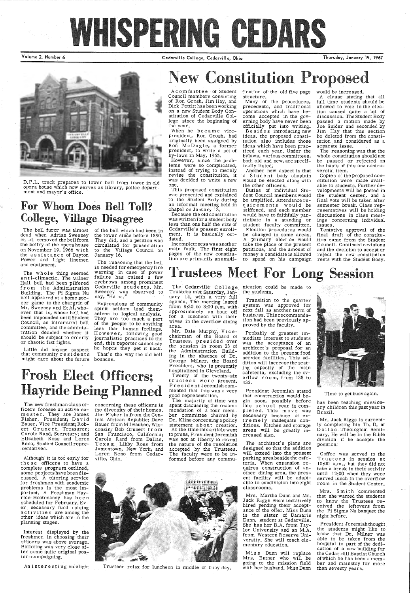# WHISPERING GEDARS

Volume 2, Number 6 Cedarville College, Cedarville, Ohio Thursday, January 19, 1967

Account the set of the other in the set of the set of the set of the set of the set of the set of the set of the set of the set of the set of the set of the set of the set of the set of the set of the set of the set of th

# **New Constitution Proposed**

D.P.L. truck prepares to lower bell from tower in old opera house which now serves as library, police department and mayor's office.

### For Whom Does Bell Toll? College, Village Disagree

of the bell which had been in the tower since before 1890. They did, and a petition was circulated for presentation to the Village Council on January 16.

Because the old constitution was written for a student body less than one half the size of Cedarville's present enrollment, it is basically outdated.

Acom in it-tee of Student Council members consisting of Ron Grosh, Jim Hay, and Dick Pettitt has been working on a new Student Body Constitution of Cedarville College since the beginning of the year.

When he became vicepresident, Ron Grosh, had originally been assigned by Ron McDugle, a former president, to write a set of by-laws in May, 1965.

However, since the problems were so complicated, instead of trying to merely revise the constitution, it was decided to write a new one.

Duties of individual Stu dent Council members would be amplified. Attendance re quirements would be stiffened, and each member would have to faithfully par ticipate in a standing or student faculty committee. Election procedures would be changed in some areas. *A* primary election would take the place of the present petitions, and the amount of money a candidate is allowed<br>to spend on his campaign

This proposed constitution was presented and explained to the Student Body during an informal meeting held in chapel on January 13.

Incompleteness was another main fault. The first eight pages of the new constitution are primarily an ampli-

fication of the old five page structure.

Many of the procedures, precedents, and traditional operations which have be-, come accepted in the gov erning body have never been officially put into writing. B e s id e s introducing new ideas, the proposed consti tution also includes those ideas which have been prac-<br>ticed each year. Under the bylaws, various committees, both old and new, are specif ically listed;

Another new aspect is that a Student body chaplain would be elected along with the other officers.

The whole thing seemed anti-climactic. The Milner Hall bell had been pilfered from the Administration Building; The Pi Sigma Nu bell appeared at a home soccer game to the chargrin of Mr. Sweeney and Et Al, whoever that is, whose bell had been impounded until Student Council, an intramural bell committee, and the administration decided whether it should be subject to orderly or chaotic fist fights.

> amestown, New York; and Loren Reno from Cedarville, Ohio.



An interesting sidelight Trustees relax for luncheon in middle of busy day.

The Cedarville College nication could be made to the students.

and equipment.

Probably of greatest immediate interest to students was the acceptance of an architect's proposal for an addition to the present food service facilities. This addition will increase the seating capacity of the main cafeteria, excluding the overflow room, from 138 to 432.

The reasoning that the bell is needed for emergency fire warning in case of power failure has raised a few eyebrows among prominent Cedarville students. Mr. Sweeney was observed to say, "Ha ha."

> Miss Dunn will replace Mrs. Entner who will be going to the mission field with her husband. Miss Dunn

# Trustees Meet For Long Session

Little did anyone suspect that community re side n ts might care about the future bounces.

Expressions of community spirit seldom lend themselves to logical analysis. They are too much a part of the people to be anything less than human feelings. However, following good journalistic practices to the end, this reporter cannot say he hopes they get it back.

That's the way the old bell

# Frosh Elect Officers; Hayride Being Planned

Although it is too early for these officers to have a complete program outlined, some projects have been discussed. A tutoring service for freshmen with academic problems is the most important. A Freshman Hayride-Hootenanny has been scheduled for February. Ever necessary fund raising activities are among the other ideas which are in the planning stages.

The new freshman class officers foresee an active semester. They are James Fisher, President; David Bauer, Vice President; Robert Grunert, Treasurer; Carole Rand, Secretary; and Elizabeth Ross and Loren Carole Rand from Dallas,

Reno; Student Council repre-sentatives. Texas; Libby Ross from concerning these officers is the diversity of their homes. Jim Fisher is from the Central African Republic; Dave Bauer from Milwaukee, Wisconsin; Bob Grunert fr om San Francisco, California;

Interest displayed by the freshmen in choosing their officers was above average. Balloting was very close after some quite original poster-campaigning.

Trustees met Saturday, Jan- $\mu$ ary 14, with a very full agenda. The meeting lasted from 8:30 to 3:00 p.m. with approximately an hour off for a luncheon with their wives in the overflow dining area.

 Mr. Dale Murphy, Vicechairman of the Board of Trustees, presided over the session in room 23 of the Administration Building in the absence of Dr. George Milner, the Board President, who is presently hospitalized in Cleveland.

Twenty of the twenty-six trustees were present. President Jeremiah commented that this was <sup>a</sup>very good representation.

The majority of time was spent discussing the recommendation of a four member committee chaired by Dr. Kline concerning a policy statement ab out creation. At the time this article went to press, President Jeremiah was not at liberty to reveal the nature of the resolution accepted by the Trustees. The faculty were to be informed before any commu-

Transition to the quarter system was approved for next fall as another term of business. This recommendation had been previously approved by the faculty.

President Jeremiah stated that construction would begin soon, possibly before this school year is completed. This move was necessary because of extremely inadequate conditions. Kitchen and storage areas will be greatly increased also~

The architect's plans are<br>lesigned so that the addition lesigned so that t



will extend into the present parking area beside the cafeteria. When expansion requires construction of another dining area, the present facility will be adaptable to subdivision into eight classrooms.

Mrs. Martha Dunn and Mr. Jack Riggs were tentatively hired pending their acceptance of the offer. Miss Dunn is the sister of Damaris Dunn, student at Cedarville. She has her B.A. from Taylor University and an M.A. from Western Reserve University. She will teach elementary education.

Time to get busy again.

has been teaching missionary children this past year in Brazil.

Mr. Jack Riggs is currently completing his Th. D. at D a 11 as Theological Seminary. He will be in the Bible division if he accepts the position.

Coffee was served to the Trustees in session at 10:00 a.m., but they did not take a break in their activity until 12:00 when they were served lunch in the overflow room in the Student Center.

Mrs. Smith commented that she wanted the students to know the Trustees received the leftovers from the Pi Sigma Nu banquet the night before.

President Jeremiah thought the students might like to know that Dr. Milner was able to be taken from the hospital to part of the dedication of a new building for the Cedar Hill Baptist Church of which he has been a member and mainstay for more than seventy years.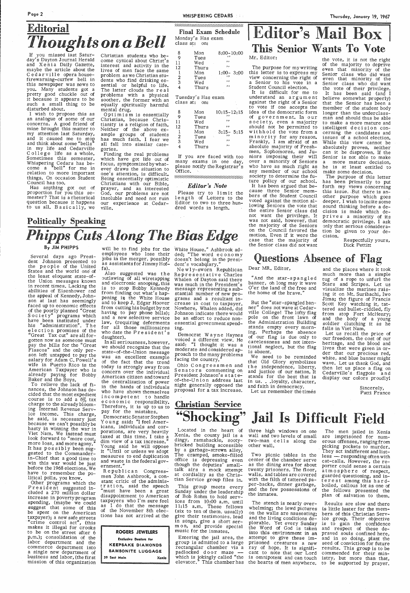Page 2

# **Editorial** *Thoughts on a Bell*

If you missed last Saturday's Dayton Journal Herald and Xenia Daily Gazette, maybe the article about the Cedarville opera house- firewarning-curfew bell in this newspaper was news to you. Many students got <sup>a</sup> pretty good chuckle out of it because it appears to be such a small thing to be disturbed about.

Has anything got out of proportion for you this semester? That is a rhetorical question because it happens to us all. Basically, we

I wi-sh to propose this as an analogue of some of our concerns. A good friend of mine brought this matter to<br>my attention last Saturday, and it caused me to stop<br>and think about some "bells" in my life and Cedarville College life as a whole. Sometimes this semester, Whisperin§ Cedars has become a "bell" for me in relation to more important things. On occasion Student Council has too.

Optimism is essentially<br>Christian, because Christianity is a religion of faith. Neither of the above example groups of students has much faith. I fear we all fall into similar cate-

gories.<br>Finding the real problems which have got life out of focus, symptomized by whatever draws the situation to one's attention, is difficult. Being essentially optimistic<br>Christians with our Bible, prayer, and an interested God, our problems are not insoluble and need not ruin our experience at Cedarville.

### Politically Speaking *Phipps Cuts Along The Bias Edge* By JIM PHIPPS will be to find jobs for the White House." Ashbrook ad-<br>By JIM PHIPPS will be to find jobs for the White House." Ashbrook ad-

Christian students who become cynical about Christ's interest and activity in the lives of men face the same problem as we Christian students who find drinking es- sential or helpful to life. The latter clouds the re a 1 problems with a physical soother, the former with an equally spiritually harmful

> Please try to limit the length of Letters to the Editor to two to three hundred words in length.

### Final Exam Schedule Monday's Has exam class at: on:

the vote, it is not the right of the majority to deprive even that minority of the<br>Senior class who did want even that minority of the Senior class who did want the vote of their privilege.<br>It has been said (and I believe somewhat properly)<br>that the Senior has been a member of the student body longer than the underclassman and should thus be able to make <sup>a</sup>more mature and intelligent decision concerning the candidates and issues of a school election. While this view cannot be absolutely proven, neither can it be disproven. If the Senior is not able to make <sup>a</sup>more mature decision, he is at least entitled to make some decision.

| 8              | Mon   | $8:00 - 10:00$ |
|----------------|-------|----------------|
| Q              | Tues  | ,,             |
| 11             | Wed   | ,,             |
| 12             | Thurs | , ,            |
|                | Mon   | $1:00 - 3:00$  |
| $\overline{2}$ | Tues  | ,,             |
| 3              | Wed   | ,,             |
|                | Thurs | , ,            |

Tuesday's Has exam class at: on:

| 8<br>Q         | Mon<br>Tues | $10:15 - 12:15$<br>,, |
|----------------|-------------|-----------------------|
| 11             | Wed         | , ,                   |
| 12             | Thurs       | ,,                    |
|                | Mon         | $3:15 - 5:15$         |
| $\overline{2}$ | Tues        | ,,                    |
| $\overline{3}$ | Wed         | , ,                   |
|                | Thurs       | ,,                    |

If you are faced with too many exams in one day, <sup>p</sup>lease notify the Registrar's Office.

.... :.:.: .. :::.:::::::::::.:::::::::::::::::::::::

### *Editor's Note*

## I **Editor's Mail Box** I This Senior Wants To Vote

### Mr. Editor:

The purpose for mywriting this letter is to express my view concerning the right of a Senior to his vote in a Student Council election.

It is difficult for me to understand an argument against the right of a Senior to vote if one accepts the idea of the democratic form of government. In our society, even a majority should not be permitted to withhold the vote from a minority for any reason. Frankly, I am afraid of an absolute majority of Freshmen, Sophomores, and Ju niors imposing their will over a minority of Seniors who have as much right as any member of our school society to determine the future policy of our school. It has been argued that because three Senior members of the Student Council voted against the motion allowing Seniors the vote that the entire Senior class did not want the privilege. It was not said, however, that the majority of the Seniors on the Council favored the motion. Even if it were the case that the majority of the Senior class did not want

Also suggested was the<br>outlawing of all wiretapping and electronic snooping, this is to stop Bobby Kennedy from finding out what's happening in the White House and to keep J. Edgar Hoover from cutting his budget by not<br>having to pay phone bills); and a new selective service law, (requiring deferments for all those millionaires who date the President's daughter).

Democrat Wayne Haynes voiced a different view. He said: "I thought ,it was <sup>a</sup> moderate and considered ap-<br>proach to the many problems<br>facing the country."

The purpose of this letter has been primarily to put forth my views concerning this issue. But there is another purpose which goes deeper. I wish to incite some sound thinking before a decision is made which deprives a minority of its democratic privilege. I ask only that serious consideration be given to your de- cision.

Respectfully yours,

Let us recall the price of our freedom, the cost of our heritage, and the blood and lives that were given in order that our precious red, white, and blue banner might wave. Let us thank God, and then let us place a flag on<br>Cedarville's flagpole and<br>display our colors proudly!

Several days ago Presi- dent Johnson presented to the people of the United States and the world one of the least eloquent state-ofthe Union messages known in recent times. Lacking the abilities of Eisenhower and the appeal of Kennedy, Johnson at last has seemingly faced up to economic effects of the poorly planned "Great S o c i et y" programs which have been instituted under his "administration". The e 1 e ct ion promises of the "Great Tax cut" are all forgotten now as someone must pay the bills for the "Great Fiascos" and the only person left untapped to pay the salary for Adam C. Powell's wife in Puerto Rico is the American Taxpayer who is already paying for Bobby Baker and the Boys.

> Entering the jail area, the<br>group is admitted to a large rectangular chamber via a padlocked door maze which is jokingly called "the elevator." This chamber has

To relieve the lack of finances, the Johnson has decided that the most expedient course is to add a 6% tax charge to the already bloom-<br>ing Internal Revenue Service income. This charge, he said, is necessary just because we can't possibly be hasty in winning the war in Viet Nam. We instead must look forward to "more cost, more loss, and more agony."<br>It has possibly been sug-It has possibly been sug-<br>gested to the Commanderin-Chief that a good time to before the 1968 elections. We have to remember the po- litical polls, you know. Other programs which the<br>President suggested included a 270 million dollar increase in poverty program spending, (maybe we could suggest that some of this be spent on the American taxpayer); a new safe streets "crime control act", (this makes it illegal for crooks to be on the street after 6 p.m.); consolidation of the labor department and the commerce department into<br>a single new department of business and labor, (the first mission of this organization

whelming; the lewd pictures is little luster for the mem-<br>on the walls are nauseating; bers of this Christian Servon the walls are nauseating; bers of this Christian Serv- and the living conditions de- ice group. Their objective plorable. Yet every Sunday is to gain the confidence the Word of God is taken and respect of these de-<br>into this environment in an praved souls confined here,<br>attempt to give these im- and in so doing, plant the<br>prisoned c prisoned creatures a new ray of hope. It is signifi- results. This group is to be cant to note that our Lord commended for their min-

employees who lose their jobs in the merger, possibly as assistants for Jimmy Hof- . fa).

In all seriousness, however, we should recognize that the state-of-the-Union message was an excellent example of the fact that the trend today is strongly away from concern over the individual American citizen and toward the centralization of power in the hands of individuals who have shown themselves incompetent to handle e c o n o mi c responsibility.<br>Therefore, it is up to us to pay for the mistakes.

Democratic Senator Stephen Young said: "I feel Americans, individuals and corporations, are very heavily taxed at this time. I take <sup>a</sup> dim view of a tax increase." Young said he will oppose it "Until or unless we adopt

measures to end duplication and waste in the federal gov ernment."

Republican Congressmen John Ashbrook, a constant critic of the administ r at ion, said the speech "must have been a great disappointment to American taxpayers who I'm sure feel as I do that the message of the November 8th elections has not arrived at the

### ROGERS JEWELERS

Exclusive Dealers for KEEPSAKE DIAMONDS SAMSONITE LUGGAGE 39 East Main Xenia

White House." Ashbrook added; "The word economy<br>doesn't belong in the president's vocabqlary."

New 1 y-sworn Republican Representative Charles Whalen of Dayton said there was much in the President's message representing a sub stantial number of new programs and a resultant increase in cost to taxpayer. Nowhere, Whalen added, did Johnson indicate there would be an effort to reduce nonessential government spend- ing.

Ohio C on gr es s m en and Senators commenting on<br>President Johnson's stateof-the-Union address last night generally opposed the proposal for a tax increase.

# Christian Service

Located in the heart of three high windows on one dingy, ramshackle, sooty- two-man cells along the bricked building accessible other wall. by a garbage-strewn alley, The cramped, smoke-filled office is depressing even though the deputies' small talk airs a mock attempt at cordiality as the Christian Service group files in. Located in the heart of three high windows on one The men jailed in Xenia Xenia, the county jail is a wall and two levels of small are imprisoned for num-

# Questions Absence of Flag

### Dear MR. Editor,

"And the star-spangled banner, oh long may it wave O'er the land of the free and the home of the brave."

But the "star-spangled ban ner" does not wave at Cedarville College! The lofty flag pole on the front lawn of<br>the Administration Building stands empty every morn-<br>ing. Perhaps the absence<br>of our flag is due only to carelessness and not intentional neglect, but the flag is absent.

We need to be reminded that Old Glory symbolizes the independence, liberty, and justice of our nation. It stands for the best that is in us. . .loyalty, character, and faith in democracy.

Let us remember the times

### and the places where it took much more than a simple tug of a rope to unfurl the Stars and Stripes. Let us visualize the marines raising it on Mt. Suribachi, Iwo Jima; the figure of Francis Scott Key watching it, tat-<br>tered and bullet-riddled, fly tered and bullet-riddled, fly from atop Fort McHenry; and the body of a young soldier clutching it as he falls in Viet Nam.

Sincerely, Patti France

# "Shocking" Jail Is Difficult Field

two-man cells along the erous-offenses,rangingfrom<br>other\_wall. picking pockets to murder. Two picnic tables in the less - responding often with center of the chamber serve cat-calls. However, the recenter of the chamber serve cat-calls. However, the re-<br>as the dining area for about porter could sense a certain<br>twenty prisoners. The floor, atmosphere of respect twenty prisoners. The floor, atmosphere of respect,<br>walls, and tables are covered guarded questioning, and in-<br>with the filth of tattered pa- terest among this hard-<br>per-backs, dinner garbage, boiled, callous lot as one of

This group meets every Sunday under the leadership of Bob Rohm to hold services from 10:00 a.m. until 11:15 a.m. These fellows (six to ten of them, usually) give their testimonies, lead in songs, give a short serm on, and provide special music for the inmates.

The stench is nearly over- Results are slow and there is omnipotent and can touch istry, but more than that, the hearts of men anywhere. to be supported by prayer.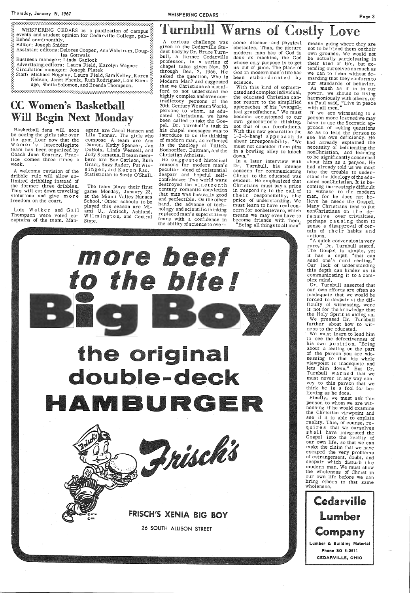WHISPERING CEDARS is a publication of campus events and student opinion for Cedarville College, published semimonthly. Editor: Joseph Snider

Assistant editors: Delores Cooper, Ann Walstrum, Douglas Gottwals

Business manager: Linda Garlock

Advertising editors: Laura Field, Karolyn Wagner Circulation manager: Joseph Platek

Staff: Michael Bogatay, Laura Field, Sam Kelley, Karen Nelson, Janet Phenix, Ruth Rodriguez, Lois Rumage, Sheila Solomon, and Brenda Thompson.

### **CC Women's Basketball Will Begin Next Monday**

Basketball fans will soon be seeing the girls take over the gym floor now that the Women's intercollegiate team has been organized by Coach June Kearney. Practice comes three times a week.

A welcome revision of the dribble rule will allow unlimited dribbling instead of the former three dribbles. This will cut down traveling violations and give more freedom on the court.

Lois Walker and Gail Thompson were voted cocaptains of the team. Man-

agers are Carol Hansen and Lila Tanner. The girls who<br>compose A team are Ann Damon, Kathy Spencer, Jan DuBois, Linda Wessell, and Judy Stamatus. B team members are Bev Carlson, Ruth Grant, Suzy Rader, Pat Wissinger, and Karen Rau. Statistician is Suzie O'Shell.

The team plays their first game Monday, January 23,<br>at the Miami Valley Nurses School. Other schools to be played this season are Miami U., Antioch, Ashland, Wilmington, and Central State.

# **Warns of Costly Love**

serious challenge was given to the Cedarville Student body by Dr. Bruce Turnbull, a former Cedarville professor, in a series of chapel talks given Nov. 30 through Dec.  $2, 1966$ . He asked the question, Who is Modern Man? and suggested that we Christians cannot afford to not understand the highly complex and even contradictory persons of the 20th Century Western World, persons to whom, as educated Christians, we have been called to take the Gospel. Dr. Turnbull's task in his chapel messages was to introduce to us the thinking of modern man, as reflected in the theology of Tillich, Bonhoeffer, Bultman, and the Christian Atheists.

He suggested historical reasons for modern man's peculiar blend of existential despair and hopeful selfconfidence: Two world wars destroyed the nineteenth century romantic conviction that man was basically good and perfectible. On the other hand, the advance of technology and scientific thinking replaced man's superstitious fears with a confidence in the ability of science to overcome disease and physical obstacles. Thus, the picture modern man has of God is deus ex machina, the God whose only purpose is to get us out of jams. The place of God in modern man's life has been subordinated by science.

With this kind of sophisticated and complex individual, the educated Christian cannot resort to the simplified approaches of his "evangelical grandfathers." We must become accustomed to our own generation's thinking, not that of our forefathers. With this new generation the 1-2-3-bang! approach is sheer irresponsibility. "We must not consider them pins in a bowling alley to knock down.

In a later interview with Dr. Turnbull, his intense concern for communicating Christ to the educated was evident. He emphasized that Christians must pay a price in responding to the call of their responsibility, the price of understanding. We<br>must learn to have real concern for nonbelievers, which means we may even have to become friends with them. "Being all things to all men"

means going where they are not to befriend them on their own grounds. We would not be actually participating in their kind of life, but extending ourselves as much as we can to them without demanding that they conform to our standards of behavior.

As mush as it is in our power, we should be living power, we should be fiving<br>harmoniously with others, or<br>as Paul said, "Live in peace<br>with all men."

If we are witnessing to a person more learned we may have to use the Socratic approach of asking questions so as to lead the person to use his own deficiency. He had already explained the necessity of befriending the nonChristian, and learning to be significantly concerned about him as a person. He had already told us we must take the trouble to understand the ideology of the educated nonChristian. It is becoming increasingly difficult to witness to the modern man, for he does not believe he needs the Gospel. Many Christians tend to put nonChristians on the defensive over trivialties, perhaps causing them to sense a disapproval of certain of their habits and actions.

"A quick conversion is very<br>rare," Dr. Turnbull stated.<br>The Gospel is simple, yet it has a depth "that can send one's mind reeling." Our lack of understanding this depth can hinder us in communicating it to a com-

our own efforts are often so inadequate that we would be forced to despair at the difficulty of witnessing, were it not for the knowledge that the Holy Spirit is aiding us. We pressed Dr. Turnbull further about how to wit-

We must learn to lead him to see the defectiveness of<br>his own position. "Bring about a feeling on the part of the person you are witnessing to that his whole viewpoint is inadequate and<br>lets him down." But Dr.<br>Turnbull warned that we must never in any way convey to this person that we think he is a fool for be-

Finally, we must ask this person to whom we are witnessing if he would examine the Christian viewpoint and see if it is able to explain reality. This, of course, requires that we ourselves shall have integrated the Gospel into the reality of our own life, so that we can make the claim that we have